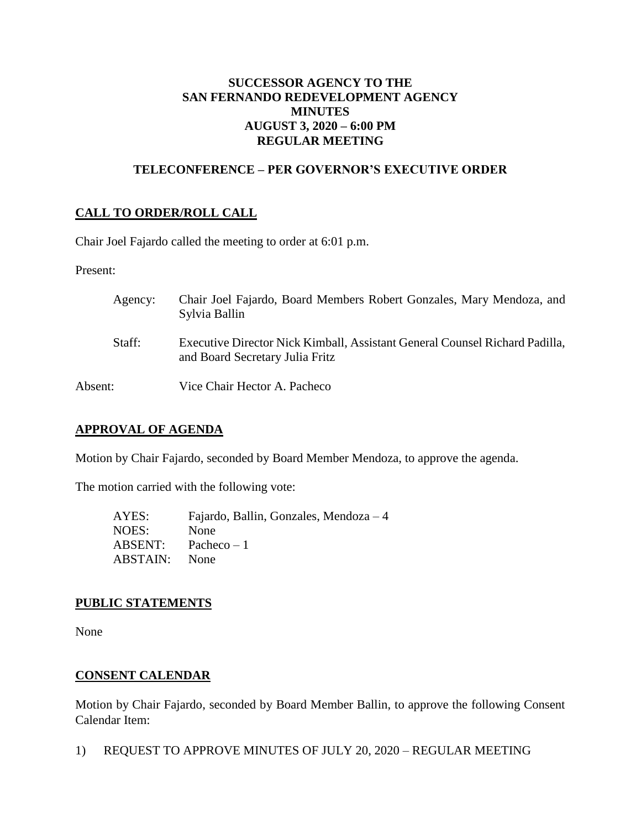# **SUCCESSOR AGENCY TO THE SAN FERNANDO REDEVELOPMENT AGENCY MINUTES AUGUST 3, 2020 – 6:00 PM REGULAR MEETING**

## **TELECONFERENCE – PER GOVERNOR'S EXECUTIVE ORDER**

# **CALL TO ORDER/ROLL CALL**

Chair Joel Fajardo called the meeting to order at 6:01 p.m.

Present:

| Agency: | Chair Joel Fajardo, Board Members Robert Gonzales, Mary Mendoza, and<br>Sylvia Ballin                          |
|---------|----------------------------------------------------------------------------------------------------------------|
| Staff:  | Executive Director Nick Kimball, Assistant General Counsel Richard Padilla,<br>and Board Secretary Julia Fritz |
| Absent: | Vice Chair Hector A. Pacheco                                                                                   |

### **APPROVAL OF AGENDA**

Motion by Chair Fajardo, seconded by Board Member Mendoza, to approve the agenda.

The motion carried with the following vote:

| AYES:    | Fajardo, Ballin, Gonzales, Mendoza $-4$ |
|----------|-----------------------------------------|
| NOES:    | None                                    |
| ABSENT:  | Pacheco $-1$                            |
| ABSTAIN: | <b>None</b>                             |

### **PUBLIC STATEMENTS**

None

# **CONSENT CALENDAR**

Motion by Chair Fajardo, seconded by Board Member Ballin, to approve the following Consent Calendar Item:

1) REQUEST TO APPROVE MINUTES OF JULY 20, 2020 – REGULAR MEETING